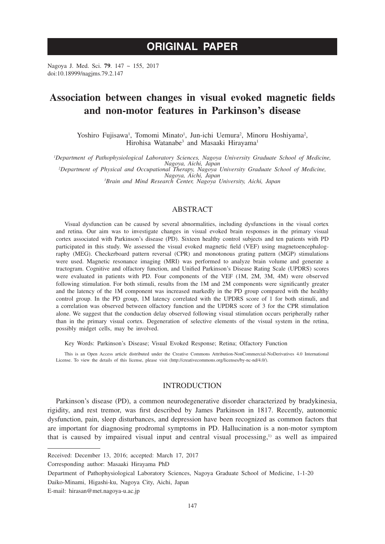# **ORIGINAL PAPER**

Nagoya J. Med. Sci. **79**. 147 ~ 155, 2017 doi:10.18999/nagjms.79.2.147

## **Association between changes in visual evoked magnetic fields and non-motor features in Parkinson's disease**

Yoshiro Fujisawa<sup>1</sup>, Tomomi Minato<sup>1</sup>, Jun-ichi Uemura<sup>2</sup>, Minoru Hoshiyama<sup>2</sup>, Hirohisa Watanabe<sup>3</sup> and Masaaki Hirayama<sup>1</sup>

*1 Department of Pathophysiological Laboratory Sciences, Nagoya University Graduate School of Medicine,* 

*Nagoya, Aichi, Japan <sup>2</sup> Department of Physical and Occupational Therapy, Nagoya University Graduate School of Medicine, Nagoya, Aichi, Japan <sup>3</sup> Brain and Mind Research Center, Nagoya University, Aichi, Japan*

## ABSTRACT

Visual dysfunction can be caused by several abnormalities, including dysfunctions in the visual cortex and retina. Our aim was to investigate changes in visual evoked brain responses in the primary visual cortex associated with Parkinson's disease (PD). Sixteen healthy control subjects and ten patients with PD participated in this study. We assessed the visual evoked magnetic field (VEF) using magnetoencephalography (MEG). Checkerboard pattern reversal (CPR) and monotonous grating pattern (MGP) stimulations were used. Magnetic resonance imaging (MRI) was performed to analyze brain volume and generate a tractogram. Cognitive and olfactory function, and Unified Parkinson's Disease Rating Scale (UPDRS) scores were evaluated in patients with PD. Four components of the VEF (1M, 2M, 3M, 4M) were observed following stimulation. For both stimuli, results from the 1M and 2M components were significantly greater and the latency of the 1M component was increased markedly in the PD group compared with the healthy control group. In the PD group, 1M latency correlated with the UPDRS score of 1 for both stimuli, and a correlation was observed between olfactory function and the UPDRS score of 3 for the CPR stimulation alone. We suggest that the conduction delay observed following visual stimulation occurs peripherally rather than in the primary visual cortex. Degeneration of selective elements of the visual system in the retina, possibly midget cells, may be involved.

Key Words: Parkinson's Disease; Visual Evoked Response; Retina; Olfactory Function

This is an Open Access article distributed under the Creative Commons Attribution-NonCommercial-NoDerivatives 4.0 International License. To view the details of this license, please visit (http://creativecommons.org/licenses/by-nc-nd/4.0/).

## INTRODUCTION

Parkinson's disease (PD), a common neurodegenerative disorder characterized by bradykinesia, rigidity, and rest tremor, was first described by James Parkinson in 1817. Recently, autonomic dysfunction, pain, sleep disturbances, and depression have been recognized as common factors that are important for diagnosing prodromal symptoms in PD. Hallucination is a non-motor symptom that is caused by impaired visual input and central visual processing, $\mu$  as well as impaired

Corresponding author: Masaaki Hirayama PhD

Received: December 13, 2016; accepted: March 17, 2017

Department of Pathophysiological Laboratory Sciences, Nagoya Graduate School of Medicine, 1-1-20

Daiko-Minami, Higashi-ku, Nagoya City, Aichi, Japan

E-mail: hirasan@met.nagoya-u.ac.jp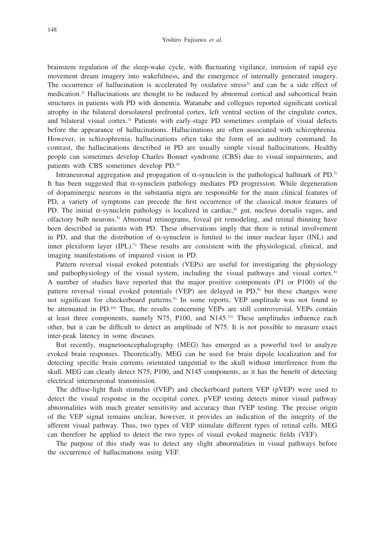brainstem regulation of the sleep-wake cycle, with fluctuating vigilance, intrusion of rapid eye movement dream imagery into wakefulness, and the emergence of internally generated imagery. The occurrence of hallucination is accelerated by oxidative stress<sup>2)</sup> and can be a side effect of medication.<sup>1)</sup> Hallucinations are thought to be induced by abnormal cortical and subcortical brain structures in patients with PD with dementia. Watanabe and collegues reported significant cortical atrophy in the bilateral dorsolateral prefrontal cortex, left ventral section of the cingulate cortex, and bilateral visual cortex.<sup>3)</sup> Patients with early-stage PD sometimes complain of visual defects before the appearance of hallucinations. Hallucinations are often associated with schizophrenia. However, in schizophrenia, hallucinations often take the form of an auditory command. In contrast, the hallucinations described in PD are usually simple visual hallucinations. Healthy people can sometimes develop Charles Bonnet syndrome (CBS) due to visual impairments, and patients with CBS sometimes develop PD.4)

Intraneuronal aggregation and propagation of α-synuclein is the pathological hallmark of PD.<sup>5)</sup> It has been suggested that α-synuclein pathology mediates PD progression. While degeneration of dopaminergic neurons in the substantia nigra are responsible for the main clinical features of PD, a variety of symptoms can precede the first occurrence of the classical motor features of PD. The initial  $\alpha$ -synuclein pathology is localized in cardiac,<sup>6</sup> gut, nucleus dorsalis vagus, and olfactory bulb neurons.5) Abnormal retinograms, foveal pit remodeling, and retinal thinning have been described in patients with PD. These observations imply that there is retinal involvement in PD, and that the distribution of  $\alpha$ -synuclein is limited to the inner nuclear layer (INL) and inner plexiform layer  $(IPL)$ .<sup>7)</sup> These results are consistent with the physiological, clinical, and imaging manifestations of impaired vision in PD.

Pattern reversal visual evoked potentials (VEPs) are useful for investigating the physiology and pathophysiology of the visual system, including the visual pathways and visual cortex. $8$ ) A number of studies have reported that the major positive components (P1 or P100) of the pattern reversal visual evoked potentials (VEP) are delayed in PD,9) but these changes were not significant for checkerboard patterns.<sup>9)</sup> In some reports, VEP amplitude was not found to be attenuated in PD.<sup>10)</sup> Thus, the results concerning VEPs are still controversial. VEPs contain at least three components, namely N75, P100, and N145.11) These amplitudes influence each other, but it can be difficult to detect an amplitude of N75. It is not possible to measure exact inter-peak latency in some diseases.

But recently, magnetoencephalography (MEG) has emerged as a powerful tool to analyze evoked brain responses. Theoretically, MEG can be used for brain dipole localization and for detecting specific brain currents orientated tangential to the skull without interference from the skull. MEG can clearly detect N75, P100, and N145 components, as it has the benefit of detecting electrical interneuronal transmission.

The diffuse-light flash stimulus (fVEP) and checkerboard pattern VEP (pVEP) were used to detect the visual response in the occipital cortex. pVEP testing detects minor visual pathway abnormalities with much greater sensitivity and accuracy than fVEP testing. The precise origin of the VEP signal remains unclear, however, it provides an indication of the integrity of the afferent visual pathway. Thus, two types of VEP stimulate different types of retinal cells. MEG can therefore be applied to detect the two types of visual evoked magnetic fields (VEF).

The purpose of this study was to detect any slight abnormalities in visual pathways before the occurrence of hallucinations using VEF.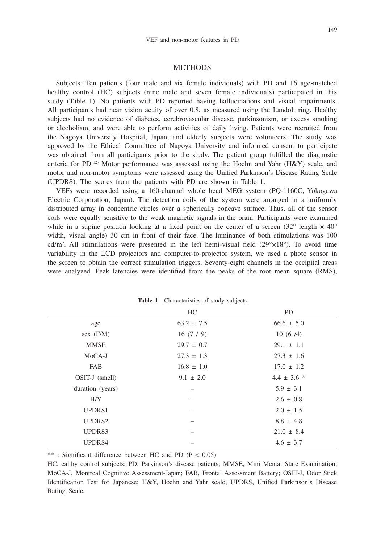#### **METHODS**

Subjects: Ten patients (four male and six female individuals) with PD and 16 age-matched healthy control (HC) subjects (nine male and seven female individuals) participated in this study (Table 1). No patients with PD reported having hallucinations and visual impairments. All participants had near vision acuity of over 0.8, as measured using the Landolt ring. Healthy subjects had no evidence of diabetes, cerebrovascular disease, parkinsonism, or excess smoking or alcoholism, and were able to perform activities of daily living. Patients were recruited from the Nagoya University Hospital, Japan, and elderly subjects were volunteers. The study was approved by the Ethical Committee of Nagoya University and informed consent to participate was obtained from all participants prior to the study. The patient group fulfilled the diagnostic criteria for PD.<sup>12</sup> Motor performance was assessed using the Hoehn and Yahr ( $H\&Y$ ) scale, and motor and non-motor symptoms were assessed using the Unified Parkinson's Disease Rating Scale (UPDRS). The scores from the patients with PD are shown in Table 1.

VEFs were recorded using a 160-channel whole head MEG system (PQ-1160C, Yokogawa Electric Corporation, Japan). The detection coils of the system were arranged in a uniformly distributed array in concentric circles over a spherically concave surface. Thus, all of the sensor coils were equally sensitive to the weak magnetic signals in the brain. Participants were examined while in a supine position looking at a fixed point on the center of a screen  $(32^{\circ} \text{ length} \times 40^{\circ})$ width, visual angle) 30 cm in front of their face. The luminance of both stimulations was 100 cd/m<sup>2</sup>. All stimulations were presented in the left hemi-visual field  $(29^{\circ} \times 18^{\circ})$ . To avoid time variability in the LCD projectors and computer-to-projector system, we used a photo sensor in the screen to obtain the correct stimulation triggers. Seventy-eight channels in the occipital areas were analyzed. Peak latencies were identified from the peaks of the root mean square (RMS),

|                  | HC             | <b>PD</b>       |
|------------------|----------------|-----------------|
| age              | $63.2 \pm 7.5$ | $66.6 \pm 5.0$  |
| sex $(F/M)$      | 16(7/9)        | 10(6/4)         |
| <b>MMSE</b>      | $29.7 \pm 0.7$ | $29.1 \pm 1.1$  |
| $MoCA-J$         | $27.3 \pm 1.3$ | $27.3 \pm 1.6$  |
| FAB              | $16.8 \pm 1.0$ | $17.0 \pm 1.2$  |
| OSIT-J (smell)   | $9.1 \pm 2.0$  | $4.4 \pm 3.6$ * |
| duration (years) |                | $5.9 \pm 3.1$   |
| H/Y              |                | $2.6 \pm 0.8$   |
| UPDRS1           |                | $2.0 \pm 1.5$   |
| UPDRS2           |                | $8.8 \pm 4.8$   |
| UPDRS3           |                | $21.0 \pm 8.4$  |
| UPDRS4           |                | $4.6 \pm 3.7$   |

| Table 1<br>Characteristics of study subjects |  |  |  |
|----------------------------------------------|--|--|--|
|----------------------------------------------|--|--|--|

\*\* : Significant difference between HC and PD (P < 0.05)

HC, ealthy control subjects; PD, Parkinson's disease patients; MMSE, Mini Mental State Examination; MoCA-J, Montreal Cognitive Assessment-Japan; FAB, Frontal Assessment Battery; OSIT-J, Odor Stick Identification Test for Japanese; H&Y, Hoehn and Yahr scale; UPDRS, Unified Parkinson's Disease Rating Scale.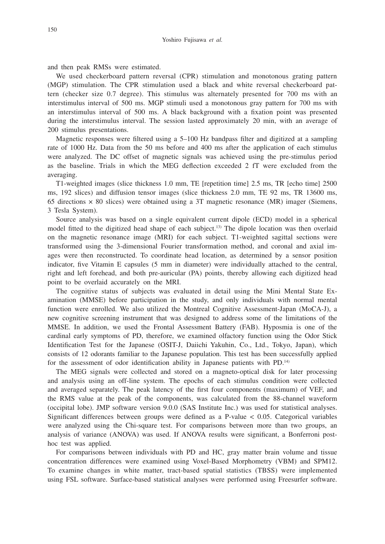and then peak RMSs were estimated.

We used checkerboard pattern reversal (CPR) stimulation and monotonous grating pattern (MGP) stimulation. The CPR stimulation used a black and white reversal checkerboard pattern (checker size 0.7 degree). This stimulus was alternately presented for 700 ms with an interstimulus interval of 500 ms. MGP stimuli used a monotonous gray pattern for 700 ms with an interstimulus interval of 500 ms. A black background with a fixation point was presented during the interstimulus interval. The session lasted approximately 20 min, with an average of 200 stimulus presentations.

Magnetic responses were filtered using a 5–100 Hz bandpass filter and digitized at a sampling rate of 1000 Hz. Data from the 50 ms before and 400 ms after the application of each stimulus were analyzed. The DC offset of magnetic signals was achieved using the pre-stimulus period as the baseline. Trials in which the MEG deflection exceeded 2 fT were excluded from the averaging.

T1-weighted images (slice thickness 1.0 mm, TE [repetition time] 2.5 ms, TR [echo time] 2500 ms, 192 slices) and diffusion tensor images (slice thickness 2.0 mm, TE 92 ms, TR 13600 ms, 65 directions  $\times$  80 slices) were obtained using a 3T magnetic resonance (MR) imager (Siemens, 3 Tesla System).

Source analysis was based on a single equivalent current dipole (ECD) model in a spherical model fitted to the digitized head shape of each subject.13) The dipole location was then overlaid on the magnetic resonance image (MRI) for each subject. T1-weighted sagittal sections were transformed using the 3-dimensional Fourier transformation method, and coronal and axial images were then reconstructed. To coordinate head location, as determined by a sensor position indicator, five Vitamin E capsules (5 mm in diameter) were individually attached to the central, right and left forehead, and both pre-auricular (PA) points, thereby allowing each digitized head point to be overlaid accurately on the MRI.

The cognitive status of subjects was evaluated in detail using the Mini Mental State Examination (MMSE) before participation in the study, and only individuals with normal mental function were enrolled. We also utilized the Montreal Cognitive Assessment-Japan (MoCA-J), a new cognitive screening instrument that was designed to address some of the limitations of the MMSE. In addition, we used the Frontal Assessment Battery (FAB). Hyposmia is one of the cardinal early symptoms of PD, therefore, we examined olfactory function using the Odor Stick Identification Test for the Japanese (OSIT-J, Daiichi Yakuhin, Co., Ltd., Tokyo, Japan), which consists of 12 odorants familiar to the Japanese population. This test has been successfully applied for the assessment of odor identification ability in Japanese patients with PD.<sup>14)</sup>

The MEG signals were collected and stored on a magneto-optical disk for later processing and analysis using an off-line system. The epochs of each stimulus condition were collected and averaged separately. The peak latency of the first four components (maximum) of VEF, and the RMS value at the peak of the components, was calculated from the 88-channel waveform (occipital lobe). JMP software version 9.0.0 (SAS Institute Inc.) was used for statistical analyses. Significant differences between groups were defined as a P-value < 0.05. Categorical variables were analyzed using the Chi-square test. For comparisons between more than two groups, an analysis of variance (ANOVA) was used. If ANOVA results were significant, a Bonferroni posthoc test was applied.

For comparisons between individuals with PD and HC, gray matter brain volume and tissue concentration differences were examined using Voxel-Based Morphometry (VBM) and SPM12. To examine changes in white matter, tract-based spatial statistics (TBSS) were implemented using FSL software. Surface-based statistical analyses were performed using Freesurfer software.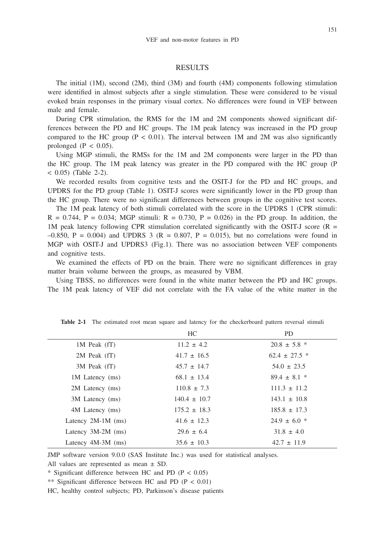#### **RESULTS**

The initial (1M), second (2M), third (3M) and fourth (4M) components following stimulation were identified in almost subjects after a single stimulation. These were considered to be visual evoked brain responses in the primary visual cortex. No differences were found in VEF between male and female.

During CPR stimulation, the RMS for the 1M and 2M components showed significant differences between the PD and HC groups. The 1M peak latency was increased in the PD group compared to the HC group ( $P < 0.01$ ). The interval between 1M and 2M was also significantly prolonged  $(P < 0.05)$ .

Using MGP stimuli, the RMSs for the 1M and 2M components were larger in the PD than the HC group. The 1M peak latency was greater in the PD compared with the HC group (P  $(2-2)$ . (Table 2-2).

We recorded results from cognitive tests and the OSIT-J for the PD and HC groups, and UPDRS for the PD group (Table 1). OSIT-J scores were significantly lower in the PD group than the HC group. There were no significant differences between groups in the cognitive test scores.

The 1M peak latency of both stimuli correlated with the score in the UPDRS 1 (CPR stimuli:  $R = 0.744$ ,  $P = 0.034$ ; MGP stimuli:  $R = 0.730$ ,  $P = 0.026$ ) in the PD group. In addition, the 1M peak latency following CPR stimulation correlated significantly with the OSIT-J score ( $R =$  $-0.850$ , P = 0.004) and UPDRS 3 (R = 0.807, P = 0.015), but no correlations were found in MGP with OSIT-J and UPDRS3 (Fig.1). There was no association between VEF components and cognitive tests.

We examined the effects of PD on the brain. There were no significant differences in gray matter brain volume between the groups, as measured by VBM.

Using TBSS, no differences were found in the white matter between the PD and HC groups. The 1M peak latency of VEF did not correlate with the FA value of the white matter in the

|                      | HC.              | <b>PD</b>         |
|----------------------|------------------|-------------------|
| $1M$ Peak $(fT)$     | $11.2 \pm 4.2$   | $20.8 \pm 5.8$ *  |
| 2M Peak (fT)         | $41.7 \pm 16.5$  | $62.4 \pm 27.5$ * |
| 3M Peak (fT)         | $45.7 \pm 14.7$  | $54.0 \pm 23.5$   |
| 1M Latency (ms)      | $68.1 \pm 13.4$  | $89.4 \pm 8.1$ *  |
| 2M Latency (ms)      | $110.8 \pm 7.3$  | $111.3 \pm 11.2$  |
| 3M Latency (ms)      | $140.4 \pm 10.7$ | $143.1 \pm 10.8$  |
| 4M Latency (ms)      | $175.2 \pm 18.3$ | $185.8 \pm 17.3$  |
| Latency $2M-1M$ (ms) | $41.6 \pm 12.3$  | $24.9 \pm 6.0$ *  |
| Latency $3M-2M$ (ms) | $29.6 \pm 6.4$   | $31.8 \pm 4.0$    |
| Latency $4M-3M$ (ms) | $35.6 \pm 10.3$  | $42.7 \pm 11.9$   |

**Table 2-1** The estimated root mean square and latency for the checkerboard pattern reversal stimuli

JMP software version 9.0.0 (SAS Institute Inc.) was used for statistical analyses.

All values are represented as mean ± SD.

\* Significant difference between HC and PD (P < 0.05)

\*\* Significant difference between HC and PD (P < 0.01)

HC, healthy control subjects; PD, Parkinson's disease patients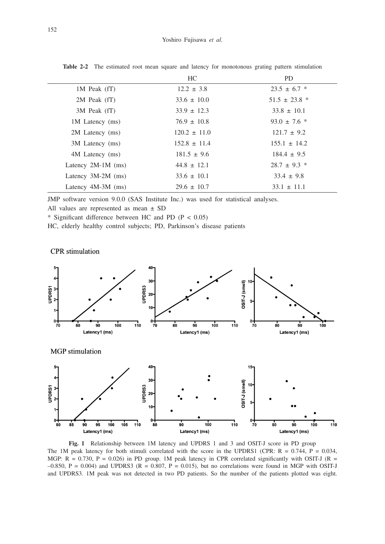|                      | HC.              | <b>PD</b>         |
|----------------------|------------------|-------------------|
| $1M$ Peak $(fT)$     | $12.2 \pm 3.8$   | $23.5 \pm 6.7$ *  |
| 2M Peak (fT)         | $33.6 \pm 10.0$  | $51.5 \pm 23.8$ * |
| 3M Peak (fT)         | $33.9 \pm 12.3$  | $33.8 \pm 10.1$   |
| 1M Latency (ms)      | $76.9 \pm 10.8$  | $93.0 \pm 7.6$ *  |
| 2M Latency (ms)      | $120.2 \pm 11.0$ | $121.7 \pm 9.2$   |
| 3M Latency (ms)      | $152.8 \pm 11.4$ | $155.1 \pm 14.2$  |
| 4M Latency (ms)      | $181.5 \pm 9.6$  | $184.4 \pm 9.5$   |
| Latency $2M-1M$ (ms) | $44.8 \pm 12.1$  | $28.7 \pm 9.3$ *  |
| Latency $3M-2M$ (ms) | $33.6 \pm 10.1$  | $33.4 \pm 9.8$    |
| Latency $4M-3M$ (ms) | $29.6 \pm 10.7$  | $33.1 \pm 11.1$   |

**Table 2-2** The estimated root mean square and latency for monotonous grating pattern stimulation

JMP software version 9.0.0 (SAS Institute Inc.) was used for statistical analyses.

All values are represented as mean ± SD

\* Significant difference between HC and PD (P < 0.05)

HC, elderly healthy control subjects; PD, Parkinson's disease patients

CPR stimulation



**Fig. 1** Relationship between 1M latency and UPDRS 1 and 3 and OSIT-J score in PD group The 1M peak latency for both stimuli correlated with the score in the UPDRS1 (CPR:  $R = 0.744$ ,  $P = 0.034$ , MGP:  $R = 0.730$ ,  $P = 0.026$ ) in PD group. 1M peak latency in CPR correlated significantly with OSIT-J ( $R = 0.730$ )  $-0.850$ , P = 0.004) and UPDRS3 (R = 0.807, P = 0.015), but no correlations were found in MGP with OSIT-J and UPDRS3. 1M peak was not detected in two PD patients. So the number of the patients plotted was eight.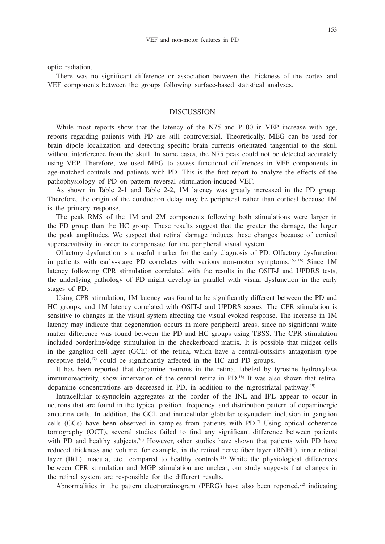optic radiation.

There was no significant difference or association between the thickness of the cortex and VEF components between the groups following surface-based statistical analyses.

#### DISCUSSION

While most reports show that the latency of the N75 and P100 in VEP increase with age, reports regarding patients with PD are still controversial. Theoretically, MEG can be used for brain dipole localization and detecting specific brain currents orientated tangential to the skull without interference from the skull. In some cases, the N75 peak could not be detected accurately using VEP. Therefore, we used MEG to assess functional differences in VEF components in age-matched controls and patients with PD. This is the first report to analyze the effects of the pathophysiology of PD on pattern reversal stimulation-induced VEF.

As shown in Table 2-1 and Table 2-2, 1M latency was greatly increased in the PD group. Therefore, the origin of the conduction delay may be peripheral rather than cortical because 1M is the primary response.

The peak RMS of the 1M and 2M components following both stimulations were larger in the PD group than the HC group. These results suggest that the greater the damage, the larger the peak amplitudes. We suspect that retinal damage induces these changes because of cortical supersensitivity in order to compensate for the peripheral visual system.

Olfactory dysfunction is a useful marker for the early diagnosis of PD. Olfactory dysfunction in patients with early-stage PD correlates with various non-motor symptoms.<sup>15) 16</sup> Since 1M latency following CPR stimulation correlated with the results in the OSIT-J and UPDRS tests, the underlying pathology of PD might develop in parallel with visual dysfunction in the early stages of PD.

Using CPR stimulation, 1M latency was found to be significantly different between the PD and HC groups, and 1M latency correlated with OSIT-J and UPDRS scores. The CPR stimulation is sensitive to changes in the visual system affecting the visual evoked response. The increase in 1M latency may indicate that degeneration occurs in more peripheral areas, since no significant white matter difference was found between the PD and HC groups using TBSS. The CPR stimulation included borderline/edge stimulation in the checkerboard matrix. It is possible that midget cells in the ganglion cell layer (GCL) of the retina, which have a central-outskirts antagonism type receptive field, $17$  could be significantly affected in the HC and PD groups.

It has been reported that dopamine neurons in the retina, labeled by tyrosine hydroxylase immunoreactivity, show innervation of the central retina in PD.18) It was also shown that retinal dopamine concentrations are decreased in PD, in addition to the nigrostriatal pathway.19)

Intracellular α-synuclein aggregates at the border of the INL and IPL appear to occur in neurons that are found in the typical position, frequency, and distribution pattern of dopaminergic amacrine cells. In addition, the GCL and intracellular globular α-synuclein inclusion in ganglion cells (GCs) have been observed in samples from patients with PD.7) Using optical coherence tomography (OCT), several studies failed to find any significant difference between patients with PD and healthy subjects.<sup>20)</sup> However, other studies have shown that patients with PD have reduced thickness and volume, for example, in the retinal nerve fiber layer (RNFL), inner retinal layer (IRL), macula, etc., compared to healthy controls.<sup>21)</sup> While the physiological differences between CPR stimulation and MGP stimulation are unclear, our study suggests that changes in the retinal system are responsible for the different results.

Abnormalities in the pattern electroretinogram (PERG) have also been reported,<sup>22)</sup> indicating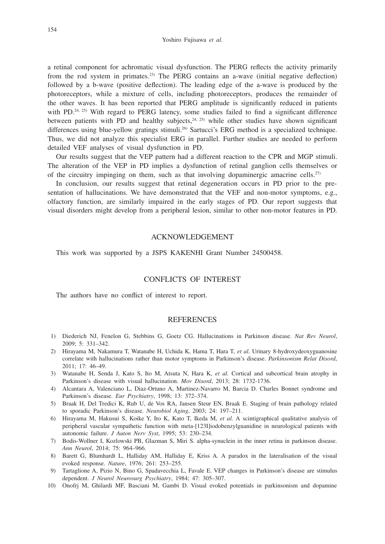Yoshiro Fujisawa *et al.*

a retinal component for achromatic visual dysfunction. The PERG reflects the activity primarily from the rod system in primates.23) The PERG contains an a-wave (initial negative deflection) followed by a b-wave (positive deflection). The leading edge of the a-wave is produced by the photoreceptors, while a mixture of cells, including photoreceptors, produces the remainder of the other waves. It has been reported that PERG amplitude is significantly reduced in patients with PD.<sup>24, 25)</sup> With regard to PERG latency, some studies failed to find a significant difference between patients with PD and healthy subjects,  $24$ ,  $25$ ) while other studies have shown significant differences using blue-yellow gratings stimuli.<sup>26</sup> Sartucci's ERG method is a specialized technique. Thus, we did not analyze this specialist ERG in parallel. Further studies are needed to perform detailed VEF analyses of visual dysfunction in PD.

Our results suggest that the VEP pattern had a different reaction to the CPR and MGP stimuli. The alteration of the VEP in PD implies a dysfunction of retinal ganglion cells themselves or of the circuitry impinging on them, such as that involving dopaminergic amacrine cells.<sup>27)</sup>

In conclusion, our results suggest that retinal degeneration occurs in PD prior to the presentation of hallucinations. We have demonstrated that the VEF and non-motor symptoms, e.g., olfactory function, are similarly impaired in the early stages of PD. Our report suggests that visual disorders might develop from a peripheral lesion, similar to other non-motor features in PD.

## ACKNOWLEDGEMENT

This work was supported by a JSPS KAKENHI Grant Number 24500458.

#### CONFLICTS OF INTEREST

The authors have no conflict of interest to report.

#### **REFERENCES**

- 1) Diederich NJ, Fenelon G, Stebbins G, Goetz CG. Hallucinations in Parkinson disease. *Nat Rev Neurol*, 2009; 5: 331–342.
- 2) Hirayama M, Nakamura T, Watanabe H, Uchida K, Hama T, Hara T, *et al.* Urinary 8-hydroxydeoxyguanosine correlate with hallucinations rather than motor symptoms in Parkinson's disease. *Parkinsonism Relat Disord*, 2011; 17: 46–49.
- 3) Watanabe H, Senda J, Kato S, Ito M, Atsuta N, Hara K, *et al.* Cortical and subcortical brain atrophy in Parkinson's disease with visual hallucination. *Mov Disord*, 2013; 28: 1732-1736.
- 4) Alcantara A, Valenciano L, Diaz-Ortuno A, Martinez-Navarro M, Barcia D. Charles Bonnet syndrome and Parkinson's disease. *Eur Psychiatry*, 1998; 13: 372–374.
- 5) Braak H, Del Tredici K, Rub U, de Vos RA, Jansen Steur EN, Braak E. Staging of brain pathology related to sporadic Parkinson's disease. *Neurobiol Aging*, 2003; 24: 197–211.
- 6) Hirayama M, Hakusui S, Koike Y, Ito K, Kato T, Ikeda M, *et al.* A scintigraphical qualitative analysis of peripheral vascular sympathetic function with meta-[123I]iodobenzylguanidine in neurological patients with autonomic failure. *J Auton Nerv Syst*, 1995; 53: 230–234.
- 7) Bodis-Wollner I, Kozlowski PB, Glazman S, Miri S. alpha-synuclein in the inner retina in parkinson disease. *Ann Neurol*, 2014; 75: 964–966.
- 8) Barett G, Blumhardt L, Halliday AM, Halliday E, Kriss A. A paradox in the lateralisation of the visual evoked response. *Nature*, 1976; 261: 253–255.
- 9) Tartaglione A, Pizio N, Bino G, Spadavecchia L, Favale E. VEP changes in Parkinson's disease are stimulus dependent. *J Neurol Neurosurg Psychiatry*, 1984; 47: 305–307.
- 10) Onofrj M, Ghilardi MF, Basciani M, Gambi D. Visual evoked potentials in parkinsonism and dopamine